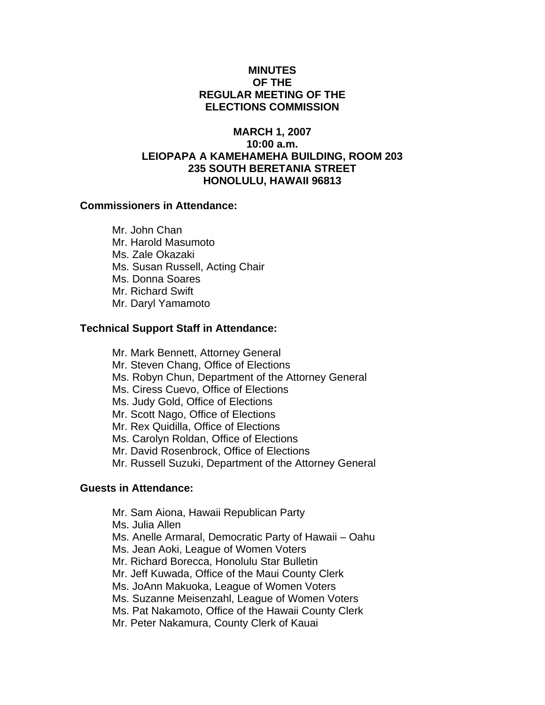## **MINUTES OF THE REGULAR MEETING OF THE ELECTIONS COMMISSION**

# **MARCH 1, 2007 10:00 a.m. LEIOPAPA A KAMEHAMEHA BUILDING, ROOM 203 235 SOUTH BERETANIA STREET HONOLULU, HAWAII 96813**

## **Commissioners in Attendance:**

 Mr. John Chan Mr. Harold Masumoto Ms. Zale Okazaki Ms. Susan Russell, Acting Chair Ms. Donna Soares Mr. Richard Swift Mr. Daryl Yamamoto

## **Technical Support Staff in Attendance:**

- Mr. Mark Bennett, Attorney General
- Mr. Steven Chang, Office of Elections
- Ms. Robyn Chun, Department of the Attorney General
- Ms. Ciress Cuevo, Office of Elections
- Ms. Judy Gold, Office of Elections
- Mr. Scott Nago, Office of Elections
- Mr. Rex Quidilla, Office of Elections
- Ms. Carolyn Roldan, Office of Elections
- Mr. David Rosenbrock, Office of Elections
- Mr. Russell Suzuki, Department of the Attorney General

## **Guests in Attendance:**

- Mr. Sam Aiona, Hawaii Republican Party
- Ms. Julia Allen
- Ms. Anelle Armaral, Democratic Party of Hawaii Oahu
- Ms. Jean Aoki, League of Women Voters
- Mr. Richard Borecca, Honolulu Star Bulletin
- Mr. Jeff Kuwada, Office of the Maui County Clerk
- Ms. JoAnn Makuoka, League of Women Voters
- Ms. Suzanne Meisenzahl, League of Women Voters
- Ms. Pat Nakamoto, Office of the Hawaii County Clerk
- Mr. Peter Nakamura, County Clerk of Kauai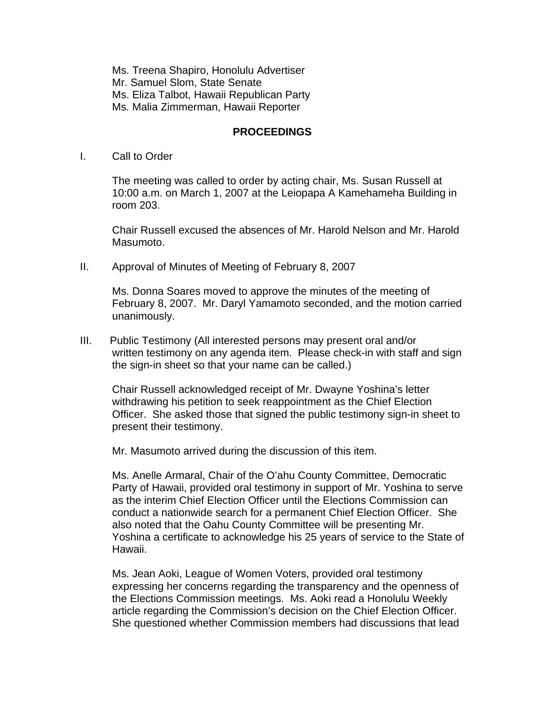Ms. Treena Shapiro, Honolulu Advertiser Mr. Samuel Slom, State Senate Ms. Eliza Talbot, Hawaii Republican Party Ms. Malia Zimmerman, Hawaii Reporter

#### **PROCEEDINGS**

I. Call to Order

The meeting was called to order by acting chair, Ms. Susan Russell at 10:00 a.m. on March 1, 2007 at the Leiopapa A Kamehameha Building in room 203.

Chair Russell excused the absences of Mr. Harold Nelson and Mr. Harold Masumoto.

II. Approval of Minutes of Meeting of February 8, 2007

Ms. Donna Soares moved to approve the minutes of the meeting of February 8, 2007. Mr. Daryl Yamamoto seconded, and the motion carried unanimously.

III. Public Testimony (All interested persons may present oral and/or written testimony on any agenda item. Please check-in with staff and sign the sign-in sheet so that your name can be called.)

Chair Russell acknowledged receipt of Mr. Dwayne Yoshina's letter withdrawing his petition to seek reappointment as the Chief Election Officer. She asked those that signed the public testimony sign-in sheet to present their testimony.

Mr. Masumoto arrived during the discussion of this item.

Ms. Anelle Armaral, Chair of the O'ahu County Committee, Democratic Party of Hawaii, provided oral testimony in support of Mr. Yoshina to serve as the interim Chief Election Officer until the Elections Commission can conduct a nationwide search for a permanent Chief Election Officer. She also noted that the Oahu County Committee will be presenting Mr. Yoshina a certificate to acknowledge his 25 years of service to the State of Hawaii.

Ms. Jean Aoki, League of Women Voters, provided oral testimony expressing her concerns regarding the transparency and the openness of the Elections Commission meetings. Ms. Aoki read a Honolulu Weekly article regarding the Commission's decision on the Chief Election Officer. She questioned whether Commission members had discussions that lead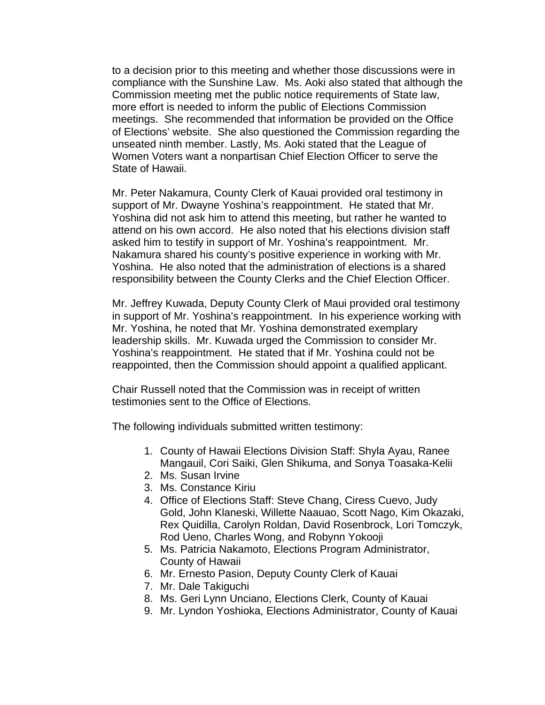to a decision prior to this meeting and whether those discussions were in compliance with the Sunshine Law. Ms. Aoki also stated that although the Commission meeting met the public notice requirements of State law, more effort is needed to inform the public of Elections Commission meetings. She recommended that information be provided on the Office of Elections' website. She also questioned the Commission regarding the unseated ninth member. Lastly, Ms. Aoki stated that the League of Women Voters want a nonpartisan Chief Election Officer to serve the State of Hawaii.

Mr. Peter Nakamura, County Clerk of Kauai provided oral testimony in support of Mr. Dwayne Yoshina's reappointment. He stated that Mr. Yoshina did not ask him to attend this meeting, but rather he wanted to attend on his own accord. He also noted that his elections division staff asked him to testify in support of Mr. Yoshina's reappointment. Mr. Nakamura shared his county's positive experience in working with Mr. Yoshina. He also noted that the administration of elections is a shared responsibility between the County Clerks and the Chief Election Officer.

Mr. Jeffrey Kuwada, Deputy County Clerk of Maui provided oral testimony in support of Mr. Yoshina's reappointment. In his experience working with Mr. Yoshina, he noted that Mr. Yoshina demonstrated exemplary leadership skills. Mr. Kuwada urged the Commission to consider Mr. Yoshina's reappointment. He stated that if Mr. Yoshina could not be reappointed, then the Commission should appoint a qualified applicant.

Chair Russell noted that the Commission was in receipt of written testimonies sent to the Office of Elections.

The following individuals submitted written testimony:

- 1. County of Hawaii Elections Division Staff: Shyla Ayau, Ranee Mangauil, Cori Saiki, Glen Shikuma, and Sonya Toasaka-Kelii
- 2. Ms. Susan Irvine
- 3. Ms. Constance Kiriu
- 4. Office of Elections Staff: Steve Chang, Ciress Cuevo, Judy Gold, John Klaneski, Willette Naauao, Scott Nago, Kim Okazaki, Rex Quidilla, Carolyn Roldan, David Rosenbrock, Lori Tomczyk, Rod Ueno, Charles Wong, and Robynn Yokooji
- 5. Ms. Patricia Nakamoto, Elections Program Administrator, County of Hawaii
- 6. Mr. Ernesto Pasion, Deputy County Clerk of Kauai
- 7. Mr. Dale Takiguchi
- 8. Ms. Geri Lynn Unciano, Elections Clerk, County of Kauai
- 9. Mr. Lyndon Yoshioka, Elections Administrator, County of Kauai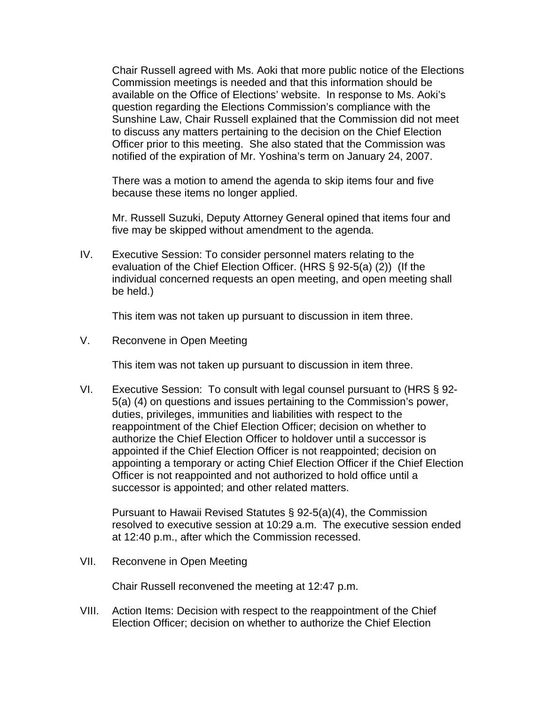Chair Russell agreed with Ms. Aoki that more public notice of the Elections Commission meetings is needed and that this information should be available on the Office of Elections' website. In response to Ms. Aoki's question regarding the Elections Commission's compliance with the Sunshine Law, Chair Russell explained that the Commission did not meet to discuss any matters pertaining to the decision on the Chief Election Officer prior to this meeting. She also stated that the Commission was notified of the expiration of Mr. Yoshina's term on January 24, 2007.

There was a motion to amend the agenda to skip items four and five because these items no longer applied.

Mr. Russell Suzuki, Deputy Attorney General opined that items four and five may be skipped without amendment to the agenda.

IV. Executive Session: To consider personnel maters relating to the evaluation of the Chief Election Officer. (HRS § 92-5(a) (2)) (If the individual concerned requests an open meeting, and open meeting shall be held.)

This item was not taken up pursuant to discussion in item three.

V. Reconvene in Open Meeting

This item was not taken up pursuant to discussion in item three.

VI. Executive Session: To consult with legal counsel pursuant to (HRS § 92- 5(a) (4) on questions and issues pertaining to the Commission's power, duties, privileges, immunities and liabilities with respect to the reappointment of the Chief Election Officer; decision on whether to authorize the Chief Election Officer to holdover until a successor is appointed if the Chief Election Officer is not reappointed; decision on appointing a temporary or acting Chief Election Officer if the Chief Election Officer is not reappointed and not authorized to hold office until a successor is appointed; and other related matters.

Pursuant to Hawaii Revised Statutes § 92-5(a)(4), the Commission resolved to executive session at 10:29 a.m. The executive session ended at 12:40 p.m., after which the Commission recessed.

VII. Reconvene in Open Meeting

Chair Russell reconvened the meeting at 12:47 p.m.

VIII. Action Items: Decision with respect to the reappointment of the Chief Election Officer; decision on whether to authorize the Chief Election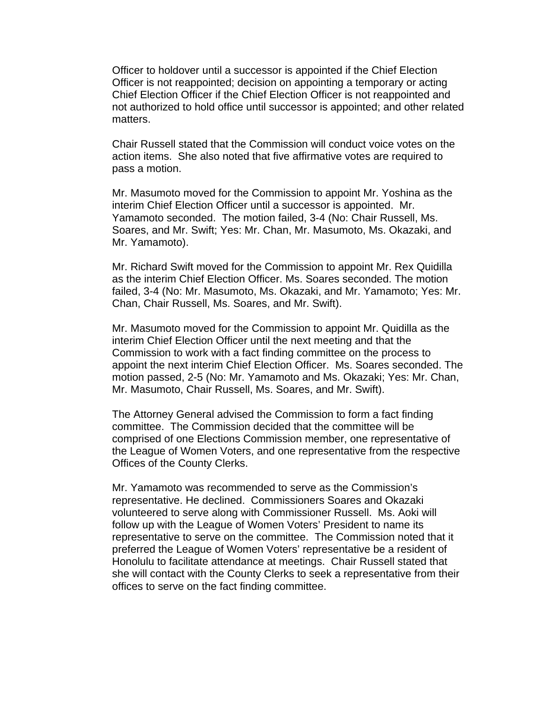Officer to holdover until a successor is appointed if the Chief Election Officer is not reappointed; decision on appointing a temporary or acting Chief Election Officer if the Chief Election Officer is not reappointed and not authorized to hold office until successor is appointed; and other related matters.

 Chair Russell stated that the Commission will conduct voice votes on the action items. She also noted that five affirmative votes are required to pass a motion.

 Mr. Masumoto moved for the Commission to appoint Mr. Yoshina as the interim Chief Election Officer until a successor is appointed. Mr. Yamamoto seconded. The motion failed, 3-4 (No: Chair Russell, Ms. Soares, and Mr. Swift; Yes: Mr. Chan, Mr. Masumoto, Ms. Okazaki, and Mr. Yamamoto).

 Mr. Richard Swift moved for the Commission to appoint Mr. Rex Quidilla as the interim Chief Election Officer. Ms. Soares seconded. The motion failed, 3-4 (No: Mr. Masumoto, Ms. Okazaki, and Mr. Yamamoto; Yes: Mr. Chan, Chair Russell, Ms. Soares, and Mr. Swift).

 Mr. Masumoto moved for the Commission to appoint Mr. Quidilla as the interim Chief Election Officer until the next meeting and that the Commission to work with a fact finding committee on the process to appoint the next interim Chief Election Officer. Ms. Soares seconded. The motion passed, 2-5 (No: Mr. Yamamoto and Ms. Okazaki; Yes: Mr. Chan, Mr. Masumoto, Chair Russell, Ms. Soares, and Mr. Swift).

 The Attorney General advised the Commission to form a fact finding committee. The Commission decided that the committee will be comprised of one Elections Commission member, one representative of the League of Women Voters, and one representative from the respective Offices of the County Clerks.

Mr. Yamamoto was recommended to serve as the Commission's representative. He declined. Commissioners Soares and Okazaki volunteered to serve along with Commissioner Russell. Ms. Aoki will follow up with the League of Women Voters' President to name its representative to serve on the committee. The Commission noted that it preferred the League of Women Voters' representative be a resident of Honolulu to facilitate attendance at meetings. Chair Russell stated that she will contact with the County Clerks to seek a representative from their offices to serve on the fact finding committee.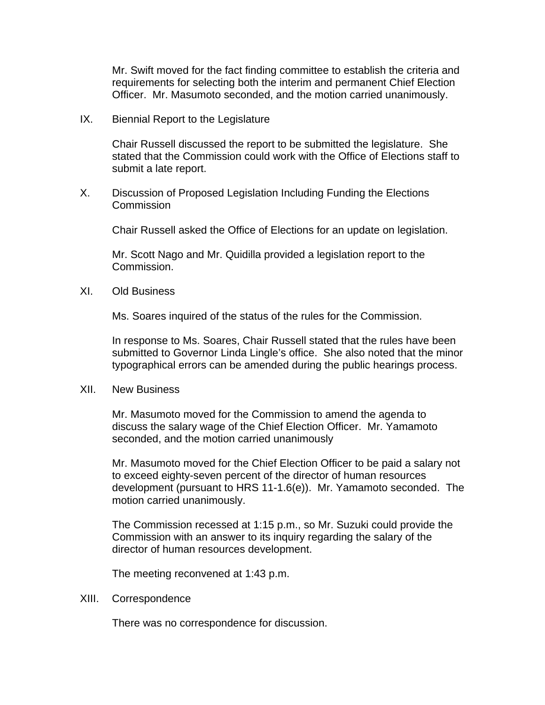Mr. Swift moved for the fact finding committee to establish the criteria and requirements for selecting both the interim and permanent Chief Election Officer. Mr. Masumoto seconded, and the motion carried unanimously.

IX. Biennial Report to the Legislature

Chair Russell discussed the report to be submitted the legislature. She stated that the Commission could work with the Office of Elections staff to submit a late report.

X. Discussion of Proposed Legislation Including Funding the Elections Commission

Chair Russell asked the Office of Elections for an update on legislation.

Mr. Scott Nago and Mr. Quidilla provided a legislation report to the Commission.

XI. Old Business

Ms. Soares inquired of the status of the rules for the Commission.

In response to Ms. Soares, Chair Russell stated that the rules have been submitted to Governor Linda Lingle's office. She also noted that the minor typographical errors can be amended during the public hearings process.

XII. New Business

Mr. Masumoto moved for the Commission to amend the agenda to discuss the salary wage of the Chief Election Officer. Mr. Yamamoto seconded, and the motion carried unanimously

Mr. Masumoto moved for the Chief Election Officer to be paid a salary not to exceed eighty-seven percent of the director of human resources development (pursuant to HRS 11-1.6(e)). Mr. Yamamoto seconded. The motion carried unanimously.

The Commission recessed at 1:15 p.m., so Mr. Suzuki could provide the Commission with an answer to its inquiry regarding the salary of the director of human resources development.

The meeting reconvened at 1:43 p.m.

XIII. Correspondence

There was no correspondence for discussion.